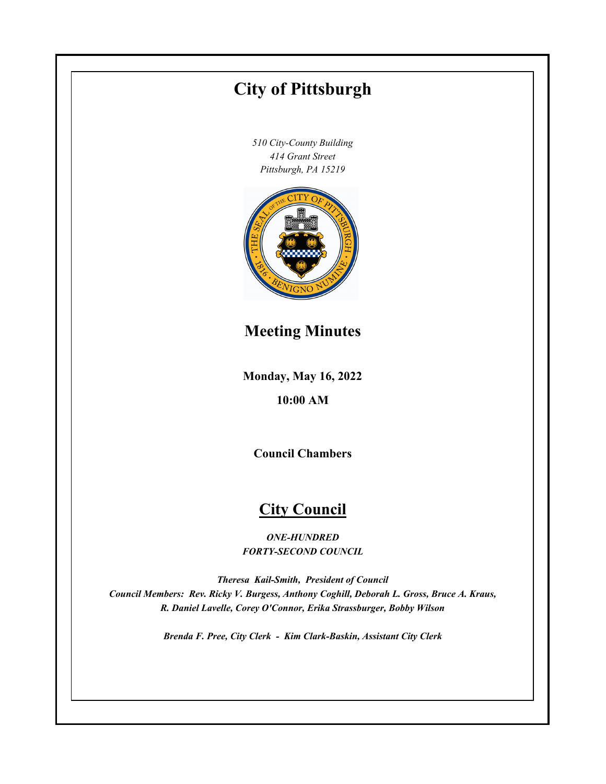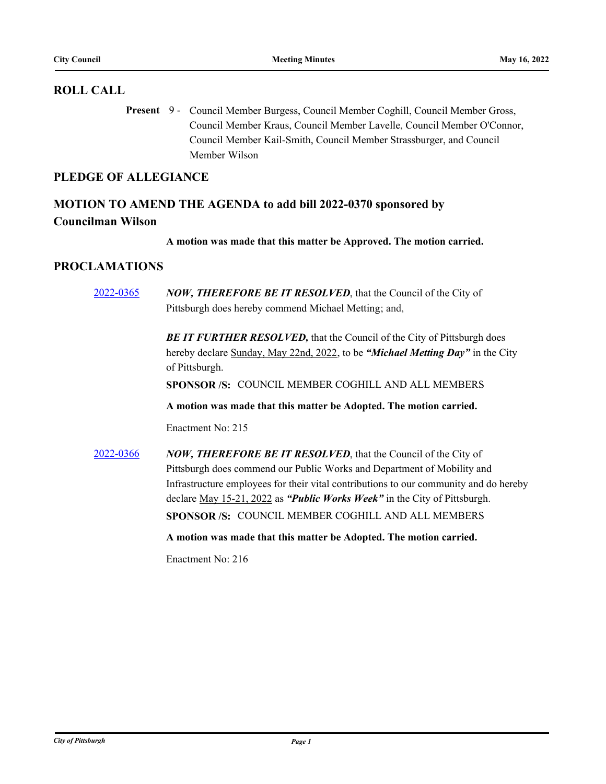## **ROLL CALL**

Present 9 - Council Member Burgess, Council Member Coghill, Council Member Gross, Council Member Kraus, Council Member Lavelle, Council Member O'Connor, Council Member Kail-Smith, Council Member Strassburger, and Council Member Wilson

## **PLEDGE OF ALLEGIANCE**

# **MOTION TO AMEND THE AGENDA to add bill 2022-0370 sponsored by Councilman Wilson**

**A motion was made that this matter be Approved. The motion carried.**

## **PROCLAMATIONS**

[2022-0365](http://pittsburgh.legistar.com/gateway.aspx?m=l&id=/matter.aspx?key=27744) *NOW, THEREFORE BE IT RESOLVED*, that the Council of the City of Pittsburgh does hereby commend Michael Metting; and,

> **BE IT FURTHER RESOLVED, that the Council of the City of Pittsburgh does** hereby declare Sunday, May 22nd, 2022, to be *"Michael Metting Day"* in the City of Pittsburgh.

**SPONSOR /S:** COUNCIL MEMBER COGHILL AND ALL MEMBERS

**A motion was made that this matter be Adopted. The motion carried.**

Enactment No: 215

[2022-0366](http://pittsburgh.legistar.com/gateway.aspx?m=l&id=/matter.aspx?key=27745) *NOW, THEREFORE BE IT RESOLVED*, that the Council of the City of Pittsburgh does commend our Public Works and Department of Mobility and Infrastructure employees for their vital contributions to our community and do hereby declare May 15-21, 2022 as *"Public Works Week"* in the City of Pittsburgh. **SPONSOR /S:** COUNCIL MEMBER COGHILL AND ALL MEMBERS

**A motion was made that this matter be Adopted. The motion carried.**

Enactment No: 216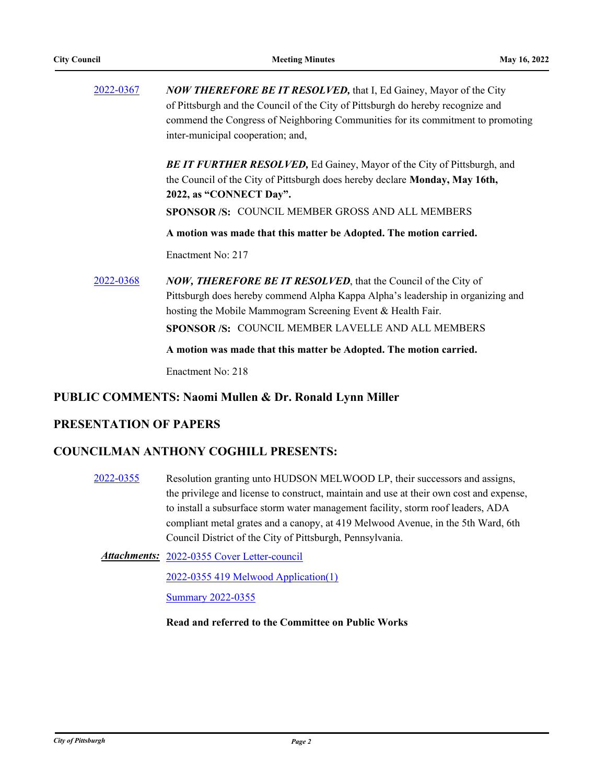| 2022-0367 | <b>NOW THEREFORE BE IT RESOLVED, that I, Ed Gainey, Mayor of the City</b><br>of Pittsburgh and the Council of the City of Pittsburgh do hereby recognize and<br>commend the Congress of Neighboring Communities for its commitment to promoting<br>inter-municipal cooperation; and, |
|-----------|--------------------------------------------------------------------------------------------------------------------------------------------------------------------------------------------------------------------------------------------------------------------------------------|
|           | <b>BE IT FURTHER RESOLVED, Ed Gainey, Mayor of the City of Pittsburgh, and</b><br>the Council of the City of Pittsburgh does hereby declare Monday, May 16th,<br>2022, as "CONNECT Day".<br><b>SPONSOR/S: COUNCIL MEMBER GROSS AND ALL MEMBERS</b>                                   |
|           | A motion was made that this matter be Adopted. The motion carried.                                                                                                                                                                                                                   |
|           | Enactment No: 217                                                                                                                                                                                                                                                                    |
| 2022-0368 | <b>NOW, THEREFORE BE IT RESOLVED, that the Council of the City of</b><br>Pittsburgh does hereby commend Alpha Kappa Alpha's leadership in organizing and<br>hosting the Mobile Mammogram Screening Event & Health Fair.<br>SPONSOR /S: COUNCIL MEMBER LAVELLE AND ALL MEMBERS        |
|           | A motion was made that this matter be Adopted. The motion carried.                                                                                                                                                                                                                   |

Enactment No: 218

## **PUBLIC COMMENTS: Naomi Mullen & Dr. Ronald Lynn Miller**

## **PRESENTATION OF PAPERS**

## **COUNCILMAN ANTHONY COGHILL PRESENTS:**

[2022-0355](http://pittsburgh.legistar.com/gateway.aspx?m=l&id=/matter.aspx?key=27734) Resolution granting unto HUDSON MELWOOD LP, their successors and assigns, the privilege and license to construct, maintain and use at their own cost and expense, to install a subsurface storm water management facility, storm roof leaders, ADA compliant metal grates and a canopy, at 419 Melwood Avenue, in the 5th Ward, 6th Council District of the City of Pittsburgh, Pennsylvania.

[2022-0355 Cover Letter-council](http://pittsburgh.legistar.com/gateway.aspx?M=F&ID=e44698a0-2455-4cdc-b14b-eacfc6e6e9f6.docx) *Attachments:*

[2022-0355 419 Melwood Application\(1\)](http://pittsburgh.legistar.com/gateway.aspx?M=F&ID=22e45c10-b1d0-456c-9004-9798c634a030.pdf)

**[Summary 2022-0355](http://pittsburgh.legistar.com/gateway.aspx?M=F&ID=adcdd244-c7b8-4fd5-b826-5176b5f97bd3.DOCX)** 

**Read and referred to the Committee on Public Works**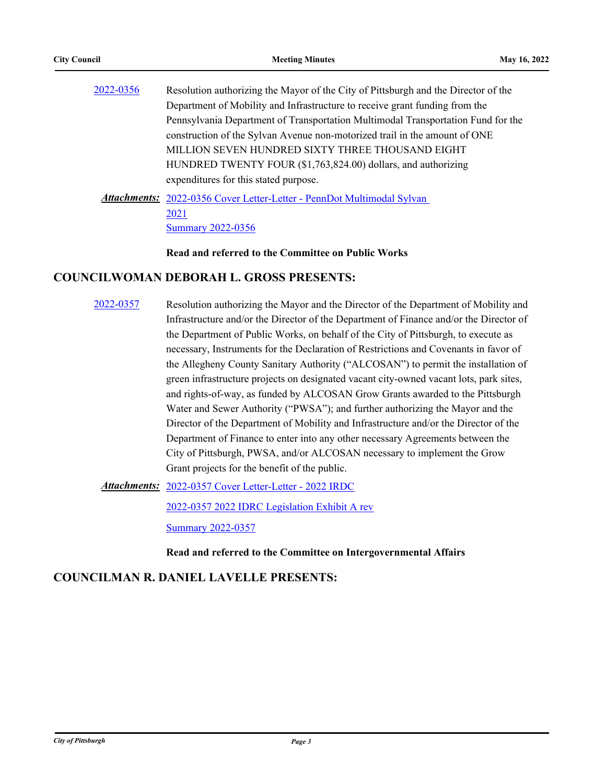| 2022-0356 | Resolution authorizing the Mayor of the City of Pittsburgh and the Director of the |
|-----------|------------------------------------------------------------------------------------|
|           | Department of Mobility and Infrastructure to receive grant funding from the        |
|           | Pennsylvania Department of Transportation Multimodal Transportation Fund for the   |
|           | construction of the Sylvan Avenue non-motorized trail in the amount of ONE         |
|           | MILLION SEVEN HUNDRED SIXTY THREE THOUSAND EIGHT                                   |
|           | HUNDRED TWENTY FOUR (\$1,763,824.00) dollars, and authorizing                      |
|           | expenditures for this stated purpose.                                              |
|           | <b>Attachments:</b> 2022-0356 Cover Letter-Letter - PennDot Multimodal Sylvan      |
|           | 2021                                                                               |
|           | <b>Summary 2022-0356</b>                                                           |

**Read and referred to the Committee on Public Works**

## **COUNCILWOMAN DEBORAH L. GROSS PRESENTS:**

[2022-0357](http://pittsburgh.legistar.com/gateway.aspx?m=l&id=/matter.aspx?key=27736) Resolution authorizing the Mayor and the Director of the Department of Mobility and Infrastructure and/or the Director of the Department of Finance and/or the Director of the Department of Public Works, on behalf of the City of Pittsburgh, to execute as necessary, Instruments for the Declaration of Restrictions and Covenants in favor of the Allegheny County Sanitary Authority ("ALCOSAN") to permit the installation of green infrastructure projects on designated vacant city-owned vacant lots, park sites, and rights-of-way, as funded by ALCOSAN Grow Grants awarded to the Pittsburgh Water and Sewer Authority ("PWSA"); and further authorizing the Mayor and the Director of the Department of Mobility and Infrastructure and/or the Director of the Department of Finance to enter into any other necessary Agreements between the City of Pittsburgh, PWSA, and/or ALCOSAN necessary to implement the Grow Grant projects for the benefit of the public.

[2022-0357 Cover Letter-Letter - 2022 IRDC](http://pittsburgh.legistar.com/gateway.aspx?M=F&ID=616179a6-a2c4-45c2-a98b-a83f5e454666.pdf) *Attachments:*

[2022-0357 2022 IDRC Legislation Exhibit A rev](http://pittsburgh.legistar.com/gateway.aspx?M=F&ID=a70e5858-96bb-4f15-8d14-b7a280b80bfb.docx)

[Summary 2022-0357](http://pittsburgh.legistar.com/gateway.aspx?M=F&ID=8ba616ff-1bf2-4866-9067-dc253580a6d8.docx)

### **Read and referred to the Committee on Intergovernmental Affairs**

## **COUNCILMAN R. DANIEL LAVELLE PRESENTS:**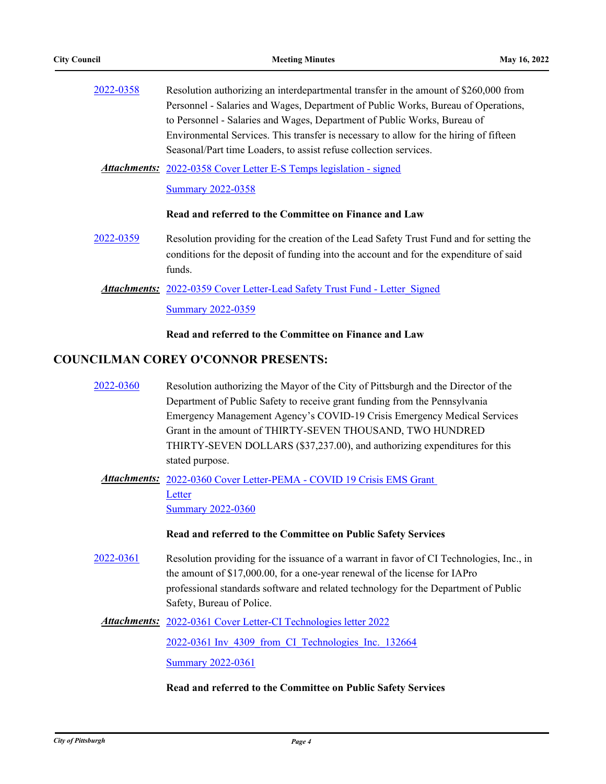| 2022-0358 | Resolution authorizing an interdepartmental transfer in the amount of \$260,000 from    |
|-----------|-----------------------------------------------------------------------------------------|
|           | Personnel - Salaries and Wages, Department of Public Works, Bureau of Operations,       |
|           | to Personnel - Salaries and Wages, Department of Public Works, Bureau of                |
|           | Environmental Services. This transfer is necessary to allow for the hiring of fifteen   |
|           | Seasonal/Part time Loaders, to assist refuse collection services.                       |
|           | <b>Attachments:</b> 2022-0358 Cover Letter E-S Temps legislation - signed               |
|           | <b>Summary 2022-0358</b>                                                                |
|           | Read and referred to the Committee on Finance and Law                                   |
| 2022-0359 | Resolution providing for the creation of the Lead Safety Trust Fund and for setting the |
|           | conditions for the deposit of funding into the account and for the expenditure of said  |
|           | funds.                                                                                  |
|           | <b>Attachments:</b> 2022-0359 Cover Letter-Lead Safety Trust Fund - Letter Signed       |
|           | <b>Summary 2022-0359</b>                                                                |
|           | Read and referred to the Committee on Finance and Law                                   |

## **COUNCILMAN COREY O'CONNOR PRESENTS:**

[2022-0360](http://pittsburgh.legistar.com/gateway.aspx?m=l&id=/matter.aspx?key=27739) Resolution authorizing the Mayor of the City of Pittsburgh and the Director of the Department of Public Safety to receive grant funding from the Pennsylvania Emergency Management Agency's COVID-19 Crisis Emergency Medical Services Grant in the amount of THIRTY-SEVEN THOUSAND, TWO HUNDRED THIRTY-SEVEN DOLLARS (\$37,237.00), and authorizing expenditures for this stated purpose.

Attachments: 2022-0360 Cover Letter-PEMA - COVID 19 Crisis EMS Grant Letter [Summary 2022-0360](http://pittsburgh.legistar.com/gateway.aspx?M=F&ID=b35f703c-4c88-47a8-981f-48b2a317835b.docx)

### **Read and referred to the Committee on Public Safety Services**

- [2022-0361](http://pittsburgh.legistar.com/gateway.aspx?m=l&id=/matter.aspx?key=27740) Resolution providing for the issuance of a warrant in favor of CI Technologies, Inc., in the amount of \$17,000.00, for a one-year renewal of the license for IAPro professional standards software and related technology for the Department of Public Safety, Bureau of Police.
	- Attachments: [2022-0361 Cover Letter-CI Technologies letter 2022](http://pittsburgh.legistar.com/gateway.aspx?M=F&ID=323c8838-d366-494f-b24a-5ad30ae2fabb.pdf)

[2022-0361 Inv\\_4309\\_from\\_CI\\_Technologies\\_Inc.\\_132664](http://pittsburgh.legistar.com/gateway.aspx?M=F&ID=9ef02c12-10a3-4d33-998e-a25d90f9ddd8.pdf)

[Summary 2022-0361](http://pittsburgh.legistar.com/gateway.aspx?M=F&ID=fc7e1f53-29f9-40f1-bb69-82d92ec6e846.docx)

#### **Read and referred to the Committee on Public Safety Services**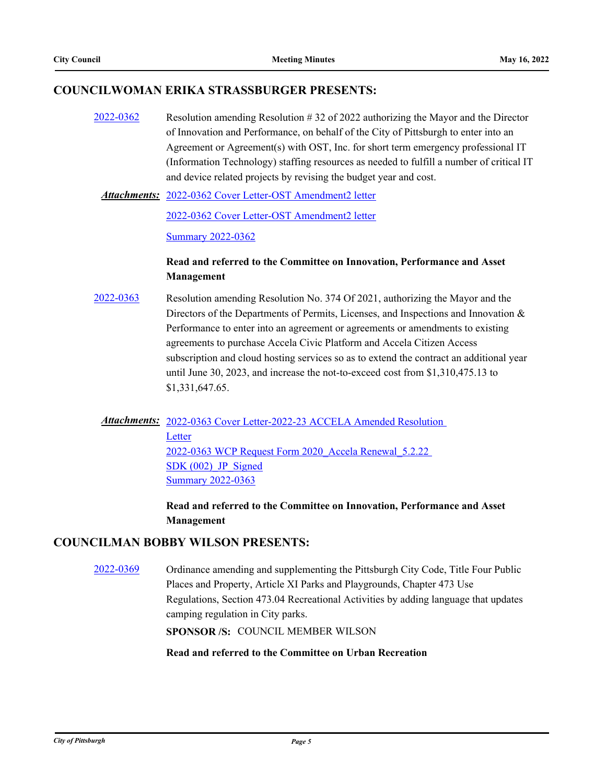## **COUNCILWOMAN ERIKA STRASSBURGER PRESENTS:**

[2022-0362](http://pittsburgh.legistar.com/gateway.aspx?m=l&id=/matter.aspx?key=27741) Resolution amending Resolution # 32 of 2022 authorizing the Mayor and the Director of Innovation and Performance, on behalf of the City of Pittsburgh to enter into an Agreement or Agreement(s) with OST, Inc. for short term emergency professional IT (Information Technology) staffing resources as needed to fulfill a number of critical IT and device related projects by revising the budget year and cost.

[2022-0362 Cover Letter-OST Amendment2 letter](http://pittsburgh.legistar.com/gateway.aspx?M=F&ID=3001d624-ff49-4030-be2f-1d818d728997.docx) *Attachments:*

[2022-0362 Cover Letter-OST Amendment2 letter](http://pittsburgh.legistar.com/gateway.aspx?M=F&ID=3990a18a-ec52-4c08-bd37-8b5096ade0ca.docx)

[Summary 2022-0362](http://pittsburgh.legistar.com/gateway.aspx?M=F&ID=242288a7-46b9-4733-b1e2-d0d48b57a821.docx)

## **Read and referred to the Committee on Innovation, Performance and Asset Management**

[2022-0363](http://pittsburgh.legistar.com/gateway.aspx?m=l&id=/matter.aspx?key=27742) Resolution amending Resolution No. 374 Of 2021, authorizing the Mayor and the Directors of the Departments of Permits, Licenses, and Inspections and Innovation & Performance to enter into an agreement or agreements or amendments to existing agreements to purchase Accela Civic Platform and Accela Citizen Access subscription and cloud hosting services so as to extend the contract an additional year until June 30, 2023, and increase the not-to-exceed cost from \$1,310,475.13 to \$1,331,647.65.

Attachments: 2022-0363 Cover Letter-2022-23 ACCELA Amended Resolution Letter [2022-0363 WCP Request Form 2020\\_Accela Renewal\\_5.2.22](http://pittsburgh.legistar.com/gateway.aspx?M=F&ID=48e42026-5135-4baf-aad1-11f822ca3a2d.pdf)  SDK (002) JP\_Signed **[Summary 2022-0363](http://pittsburgh.legistar.com/gateway.aspx?M=F&ID=c99236a8-1994-42e5-9391-9832e5b0a985.docx)** 

> **Read and referred to the Committee on Innovation, Performance and Asset Management**

## **COUNCILMAN BOBBY WILSON PRESENTS:**

[2022-0369](http://pittsburgh.legistar.com/gateway.aspx?m=l&id=/matter.aspx?key=27748) Ordinance amending and supplementing the Pittsburgh City Code, Title Four Public Places and Property, Article XI Parks and Playgrounds, Chapter 473 Use Regulations, Section 473.04 Recreational Activities by adding language that updates camping regulation in City parks.

**SPONSOR /S:** COUNCIL MEMBER WILSON

### **Read and referred to the Committee on Urban Recreation**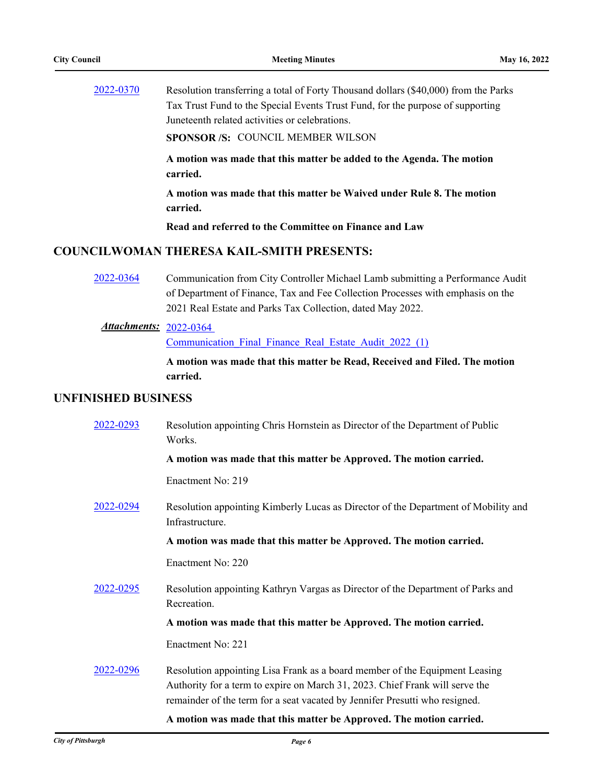[2022-0370](http://pittsburgh.legistar.com/gateway.aspx?m=l&id=/matter.aspx?key=27750) Resolution transferring a total of Forty Thousand dollars (\$40,000) from the Parks Tax Trust Fund to the Special Events Trust Fund, for the purpose of supporting Juneteenth related activities or celebrations.

**SPONSOR /S:** COUNCIL MEMBER WILSON

**A motion was made that this matter be added to the Agenda. The motion carried.**

**A motion was made that this matter be Waived under Rule 8. The motion carried.**

**Read and referred to the Committee on Finance and Law**

## **COUNCILWOMAN THERESA KAIL-SMITH PRESENTS:**

[2022-0364](http://pittsburgh.legistar.com/gateway.aspx?m=l&id=/matter.aspx?key=27743) Communication from City Controller Michael Lamb submitting a Performance Audit of Department of Finance, Tax and Fee Collection Processes with emphasis on the 2021 Real Estate and Parks Tax Collection, dated May 2022.

### 2022-0364 *Attachments:*

[Communication\\_Final\\_Finance\\_Real\\_Estate\\_Audit\\_2022\\_\(1\)](http://pittsburgh.legistar.com/gateway.aspx?M=F&ID=b1b5d141-93e8-4acc-853f-944981cc46b5.pdf)

**A motion was made that this matter be Read, Received and Filed. The motion carried.**

### **UNFINISHED BUSINESS**

| 2022-0293 | Resolution appointing Chris Hornstein as Director of the Department of Public<br>Works.                                                                                                                                                    |
|-----------|--------------------------------------------------------------------------------------------------------------------------------------------------------------------------------------------------------------------------------------------|
|           | A motion was made that this matter be Approved. The motion carried.                                                                                                                                                                        |
|           | Enactment No: 219                                                                                                                                                                                                                          |
| 2022-0294 | Resolution appointing Kimberly Lucas as Director of the Department of Mobility and<br>Infrastructure.                                                                                                                                      |
|           | A motion was made that this matter be Approved. The motion carried.                                                                                                                                                                        |
|           | Enactment No: 220                                                                                                                                                                                                                          |
| 2022-0295 | Resolution appointing Kathryn Vargas as Director of the Department of Parks and<br>Recreation.                                                                                                                                             |
|           | A motion was made that this matter be Approved. The motion carried.                                                                                                                                                                        |
|           | Enactment No: 221                                                                                                                                                                                                                          |
| 2022-0296 | Resolution appointing Lisa Frank as a board member of the Equipment Leasing<br>Authority for a term to expire on March 31, 2023. Chief Frank will serve the<br>remainder of the term for a seat vacated by Jennifer Presutti who resigned. |
|           | A motion was made that this motten he Annuared. The motion counted                                                                                                                                                                         |

### **A motion was made that this matter be Approved. The motion carried.**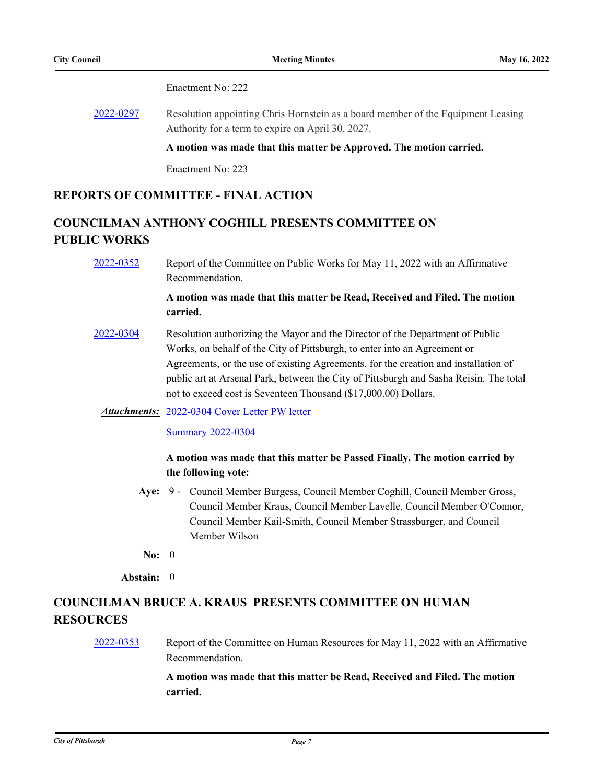Enactment No: 222

[2022-0297](http://pittsburgh.legistar.com/gateway.aspx?m=l&id=/matter.aspx?key=27666) Resolution appointing Chris Hornstein as a board member of the Equipment Leasing Authority for a term to expire on April 30, 2027.

**A motion was made that this matter be Approved. The motion carried.**

Enactment No: 223

## **REPORTS OF COMMITTEE - FINAL ACTION**

# **COUNCILMAN ANTHONY COGHILL PRESENTS COMMITTEE ON PUBLIC WORKS**

[2022-0352](http://pittsburgh.legistar.com/gateway.aspx?m=l&id=/matter.aspx?key=27731) Report of the Committee on Public Works for May 11, 2022 with an Affirmative Recommendation.

## **A motion was made that this matter be Read, Received and Filed. The motion carried.**

[2022-0304](http://pittsburgh.legistar.com/gateway.aspx?m=l&id=/matter.aspx?key=27677) Resolution authorizing the Mayor and the Director of the Department of Public Works, on behalf of the City of Pittsburgh, to enter into an Agreement or Agreements, or the use of existing Agreements, for the creation and installation of public art at Arsenal Park, between the City of Pittsburgh and Sasha Reisin. The total not to exceed cost is Seventeen Thousand (\$17,000.00) Dollars.

### Attachments: [2022-0304 Cover Letter PW letter](http://pittsburgh.legistar.com/gateway.aspx?M=F&ID=8b4d0b87-e011-4d29-b558-1cda1fb1c06e.PDF)

### [Summary 2022-0304](http://pittsburgh.legistar.com/gateway.aspx?M=F&ID=66cfb5f0-9e92-47f4-996c-6c7a184ebda5.docx)

## **A motion was made that this matter be Passed Finally. The motion carried by the following vote:**

- Aye: 9 Council Member Burgess, Council Member Coghill, Council Member Gross, Council Member Kraus, Council Member Lavelle, Council Member O'Connor, Council Member Kail-Smith, Council Member Strassburger, and Council Member Wilson
- **No:** 0

### **Abstain:** 0

# **COUNCILMAN BRUCE A. KRAUS PRESENTS COMMITTEE ON HUMAN RESOURCES**

## [2022-0353](http://pittsburgh.legistar.com/gateway.aspx?m=l&id=/matter.aspx?key=27732) Report of the Committee on Human Resources for May 11, 2022 with an Affirmative Recommendation.

## **A motion was made that this matter be Read, Received and Filed. The motion carried.**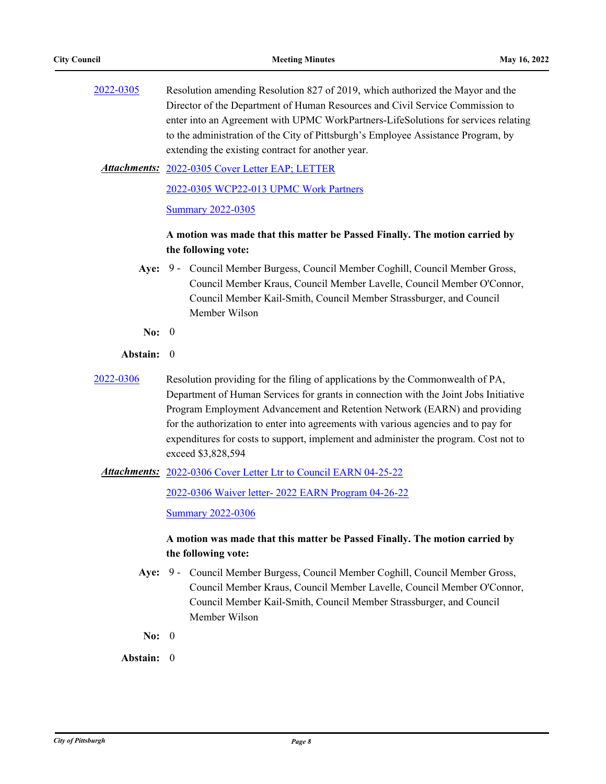| 2022-0305 | Resolution amending Resolution 827 of 2019, which authorized the Mayor and the     |
|-----------|------------------------------------------------------------------------------------|
|           | Director of the Department of Human Resources and Civil Service Commission to      |
|           | enter into an Agreement with UPMC WorkPartners-LifeSolutions for services relating |
|           | to the administration of the City of Pittsburgh's Employee Assistance Program, by  |
|           | extending the existing contract for another year.                                  |

[2022-0305 Cover Letter EAP; LETTER](http://pittsburgh.legistar.com/gateway.aspx?M=F&ID=0ed48ae0-9fb6-4d0e-a9e6-df18acf7af2b.pdf) *Attachments:*

[2022-0305 WCP22-013 UPMC Work Partners](http://pittsburgh.legistar.com/gateway.aspx?M=F&ID=e79ed852-6ce3-4dbe-a1bc-d1a2555c9c3d.pdf)

[Summary 2022-0305](http://pittsburgh.legistar.com/gateway.aspx?M=F&ID=6e432ad5-95a6-4bf7-bd6a-d2605a49f1a8.docx)

## **A motion was made that this matter be Passed Finally. The motion carried by the following vote:**

Aye: 9 - Council Member Burgess, Council Member Coghill, Council Member Gross, Council Member Kraus, Council Member Lavelle, Council Member O'Connor, Council Member Kail-Smith, Council Member Strassburger, and Council Member Wilson

**No:** 0

### **Abstain:** 0

[2022-0306](http://pittsburgh.legistar.com/gateway.aspx?m=l&id=/matter.aspx?key=27679) Resolution providing for the filing of applications by the Commonwealth of PA, Department of Human Services for grants in connection with the Joint Jobs Initiative Program Employment Advancement and Retention Network (EARN) and providing for the authorization to enter into agreements with various agencies and to pay for expenditures for costs to support, implement and administer the program. Cost not to exceed \$3,828,594

Attachments: [2022-0306 Cover Letter Ltr to Council EARN 04-25-22](http://pittsburgh.legistar.com/gateway.aspx?M=F&ID=62c34e28-9052-490c-a7d9-55f4c82239c0.pdf)

[2022-0306 Waiver letter- 2022 EARN Program 04-26-22](http://pittsburgh.legistar.com/gateway.aspx?M=F&ID=949fe7be-b674-498b-a986-6d004650836c.docx)

[Summary 2022-0306](http://pittsburgh.legistar.com/gateway.aspx?M=F&ID=f89380ce-3845-47eb-8ce5-9313c0d0850f.docx)

## **A motion was made that this matter be Passed Finally. The motion carried by the following vote:**

- Aye: 9 Council Member Burgess, Council Member Coghill, Council Member Gross, Council Member Kraus, Council Member Lavelle, Council Member O'Connor, Council Member Kail-Smith, Council Member Strassburger, and Council Member Wilson
- **No:** 0

**Abstain:** 0